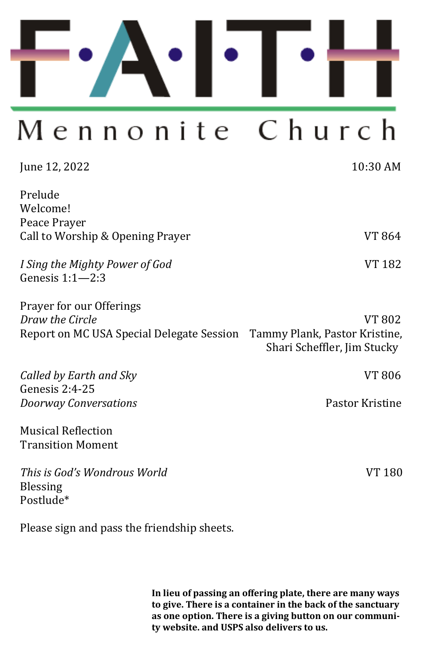

# Church Mennonite

| June 12, 2022                                                                            | 10:30 AM                                                               |
|------------------------------------------------------------------------------------------|------------------------------------------------------------------------|
| Prelude<br>Welcome!<br>Peace Prayer<br>Call to Worship & Opening Prayer                  | VT 864                                                                 |
| I Sing the Mighty Power of God<br>Genesis $1:1-2:3$                                      | <b>VT 182</b>                                                          |
| Prayer for our Offerings<br>Draw the Circle<br>Report on MC USA Special Delegate Session | VT 802<br>Tammy Plank, Pastor Kristine,<br>Shari Scheffler, Jim Stucky |
| Called by Earth and Sky                                                                  | VT 806                                                                 |
| Genesis $2:4-25$<br><b>Doorway Conversations</b>                                         | Pastor Kristine                                                        |
| <b>Musical Reflection</b><br><b>Transition Moment</b>                                    |                                                                        |
| This is God's Wondrous World<br><b>Blessing</b><br>Postlude*                             | VT 180                                                                 |

Please sign and pass the friendship sheets.

**In lieu of passing an offering plate, there are many ways to give. There is a container in the back of the sanctuary as one option. There is a giving button on our community website. and USPS also delivers to us.**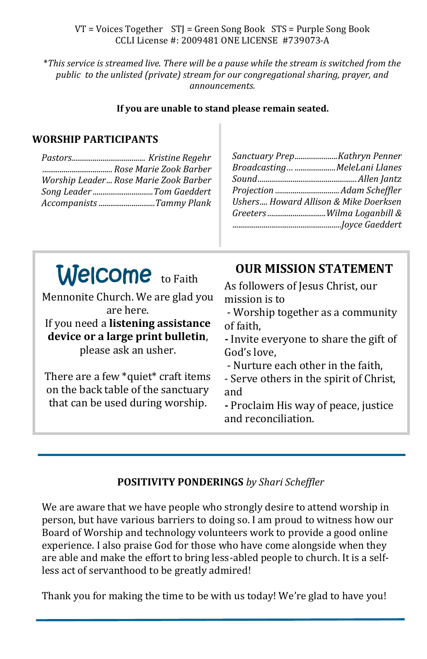VT = Voices Together STJ = Green Song Book STS = Purple Song Book CCLI License #: 2009481 ONE LICENSE #739073-A

\**This service is streamed live. There will be a pause while the stream is switched from the public to the unlisted (private) stream for our congregational sharing, prayer, and announcements.* 

**If you are unable to stand please remain seated.**

#### **WORSHIP PARTICIPANTS**

| Rose Marie Zook Barber                |
|---------------------------------------|
| Worship Leader Rose Marie Zook Barber |
| Song Leader Tom Gaeddert              |
| Accompanists Tammy Plank              |
|                                       |

| Sanctuary PrepKathryn Penner          |  |
|---------------------------------------|--|
| Broadcasting MeleLani Llanes          |  |
|                                       |  |
|                                       |  |
| Ushers Howard Allison & Mike Doerksen |  |
| Greeters Wilma Loganbill &            |  |
|                                       |  |

Welcome to Faith are here. **device or a large print bulletin**, please ask an usher. There are a few \*quiet\* craft items on the back table of the sanctuary that can be used during worship. As followers of Jesus Christ, our mission is to of faith, God's love, - Nurture each other in the faith, - Serve others in the spirit of Christ, and **-** Proclaim His way of peace, justice and reconciliation.

### **POSITIVITY PONDERINGS** *by Shari Scheffler*

We are aware that we have people who strongly desire to attend worship in person, but have various barriers to doing so. I am proud to witness how our Board of Worship and technology volunteers work to provide a good online experience. I also praise God for those who have come alongside when they are able and make the effort to bring less-abled people to church. It is a selfless act of servanthood to be greatly admired!

Thank you for making the time to be with us today! We're glad to have you!

Mennonite Church. We are glad you If you need a **listening assistance** 

# **OUR MISSION STATEMENT**

- Worship together as a community

**-** Invite everyone to share the gift of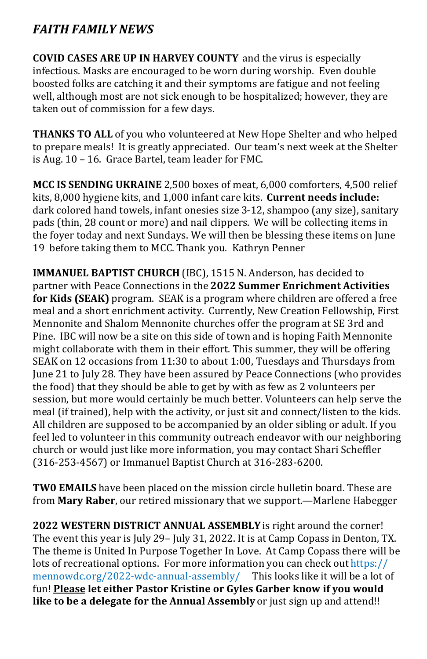# *FAITH FAMILY NEWS*

**COVID CASES ARE UP IN HARVEY COUNTY** and the virus is especially infectious. Masks are encouraged to be worn during worship. Even double boosted folks are catching it and their symptoms are fatigue and not feeling well, although most are not sick enough to be hospitalized; however, they are taken out of commission for a few days.

**THANKS TO ALL** of you who volunteered at New Hope Shelter and who helped to prepare meals! It is greatly appreciated. Our team's next week at the Shelter is Aug. 10 – 16. Grace Bartel, team leader for FMC.

**MCC IS SENDING UKRAINE** 2,500 boxes of meat, 6,000 comforters, 4,500 relief kits, 8,000 hygiene kits, and 1,000 infant care kits. **Current needs include:**  dark colored hand towels, infant onesies size 3-12, shampoo (any size), sanitary pads (thin, 28 count or more) and nail clippers. We will be collecting items in the foyer today and next Sundays. We will then be blessing these items on June 19 before taking them to MCC. Thank you. Kathryn Penner

**IMMANUEL BAPTIST CHURCH** (IBC), 1515 N. Anderson, has decided to partner with Peace Connections in the **2022 Summer Enrichment Activities for Kids (SEAK)** program. SEAK is a program where children are offered a free meal and a short enrichment activity. Currently, New Creation Fellowship, First Mennonite and Shalom Mennonite churches offer the program at SE 3rd and Pine. IBC will now be a site on this side of town and is hoping Faith Mennonite might collaborate with them in their effort. This summer, they will be offering SEAK on 12 occasions from 11:30 to about 1:00, Tuesdays and Thursdays from June 21 to July 28. They have been assured by Peace Connections (who provides the food) that they should be able to get by with as few as 2 volunteers per session, but more would certainly be much better. Volunteers can help serve the meal (if trained), help with the activity, or just sit and connect/listen to the kids. All children are supposed to be accompanied by an older sibling or adult. If you feel led to volunteer in this community outreach endeavor with our neighboring church or would just like more information, you may contact Shari Scheffler (316-253-4567) or Immanuel Baptist Church at 316-283-6200.

**TW0 EMAILS** have been placed on the mission circle bulletin board. These are from **Mary Raber**, our retired missionary that we support.—Marlene Habegger

**2022 WESTERN DISTRICT ANNUAL ASSEMBLY** is right around the corner! The event this year is July 29– July 31, 2022. It is at Camp Copass in Denton, TX. The theme is United In Purpose Together In Love. At Camp Copass there will be lots of recreational options. For more information you can check out https:// mennowdc.org/2022-wdc-annual-assembly/ This looks like it will be a lot of fun! **Please let either Pastor Kristine or Gyles Garber know if you would like to be a delegate for the Annual Assembly** or just sign up and attend!!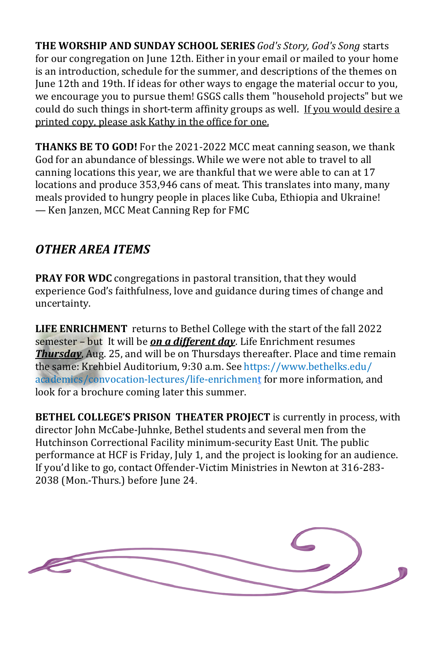**THE WORSHIP AND SUNDAY SCHOOL SERIES** *God's Story, God's Song* starts for our congregation on June 12th. Either in your email or mailed to your home is an introduction, schedule for the summer, and descriptions of the themes on June 12th and 19th. If ideas for other ways to engage the material occur to you, we encourage you to pursue them! GSGS calls them "household projects" but we could do such things in short-term affinity groups as well. If you would desire a printed copy, please ask Kathy in the office for one.

**THANKS BE TO GOD!** For the 2021-2022 MCC meat canning season, we thank God for an abundance of blessings. While we were not able to travel to all canning locations this year, we are thankful that we were able to can at 17 locations and produce 353,946 cans of meat. This translates into many, many meals provided to hungry people in places like Cuba, Ethiopia and Ukraine! — Ken Janzen, MCC Meat Canning Rep for FMC

# *OTHER AREA ITEMS*

**PRAY FOR WDC** congregations in pastoral transition, that they would experience God's faithfulness, love and guidance during times of change and uncertainty.

**LIFE ENRICHMENT** returns to Bethel College with the start of the fall 2022 semester – but It will be *on a different day*. Life Enrichment resumes *Thursday*, Aug. 25, and will be on Thursdays thereafter. Place and time remain the same: Krehbiel Auditorium, 9:30 a.m. See [https://www.bethelks.edu/](https://www.bethelks.edu/academics/convocation-lectures/life-enrichment) [academics/convocation](https://www.bethelks.edu/academics/convocation-lectures/life-enrichment)-lectures/life-enrichment for more information, and look for a brochure coming later this summer.

**BETHEL COLLEGE'S PRISON THEATER PROJECT** is currently in process, with director John McCabe-Juhnke, Bethel students and several men from the Hutchinson Correctional Facility minimum-security East Unit. The public performance at HCF is Friday, July 1, and the project is looking for an audience. If you'd like to go, contact Offender-Victim Ministries in Newton at 316-283- 2038 (Mon.-Thurs.) before June 24.

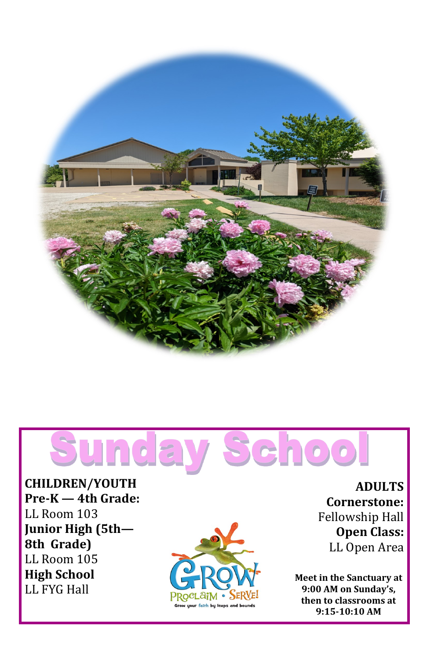

# Schoo Sunda

**CHILDREN/YOUTH Pre -K — 4th Grade:**  LL Room 103 **Junior High (5th — 8th Grade)** LL Room 105 **High School**  LL FYG Hall



**ADULTS Cornerstone:**  Fellowship Hall **Open Class:** LL Open Area

**Meet in the Sanctuary at 9:00 AM on Sunday 's, then to classrooms at 9:15 -10:10 AM**